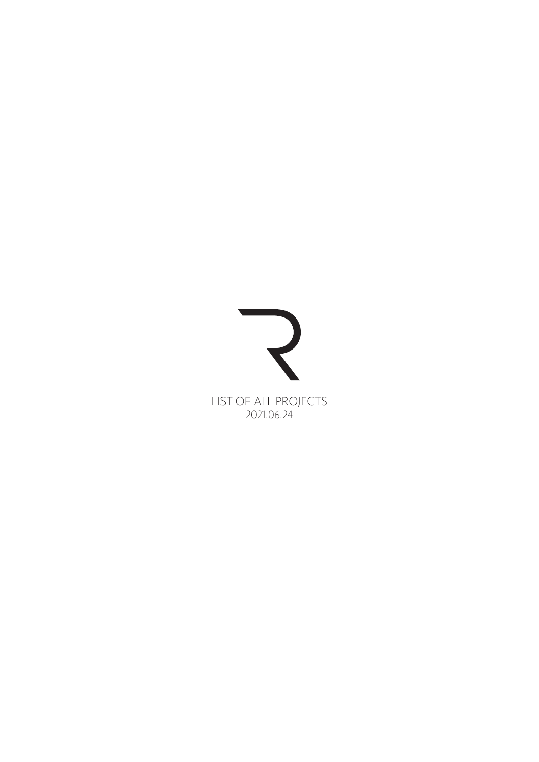

2021.06.24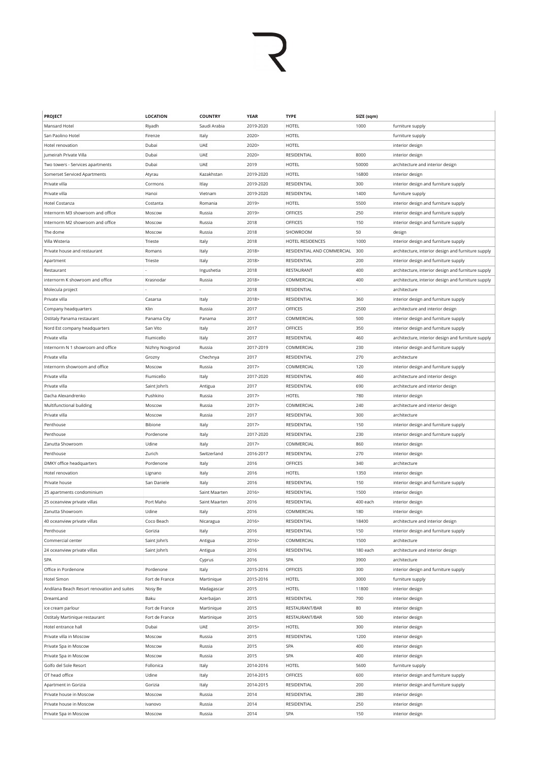## $\mathcal{L}$

| <b>PROJECT</b>                              | <b>LOCATION</b> | <b>COUNTRY</b> | <b>YEAR</b> | <b>TYPE</b>                | SIZE (sqm) |                                                    |
|---------------------------------------------|-----------------|----------------|-------------|----------------------------|------------|----------------------------------------------------|
| Mansard Hotel                               | Riyadh          | Saudi Arabia   | 2019-2020   | HOTEL                      | 1000       | furniture supply                                   |
| San Paolino Hotel                           | Firenze         | Italy          | 2020>       | HOTEL                      |            | furniture supply                                   |
| Hotel renovation                            | Dubai           | UAE            | 2020>       | HOTEL                      |            | interior design                                    |
| Jumeirah Private Villa                      | Dubai           | <b>UAE</b>     | 2020>       | RESIDENTIAL                | 8000       | interior design                                    |
| Two towers - Services apartments            | Dubai           | UAE            | 2019        | HOTEL                      | 50000      | architecture and interior design                   |
| Somerset Serviced Apartments                | Atyrau          | Kazakhstan     | 2019-2020   | HOTEL                      | 16800      | interior design                                    |
| Private villa                               | Cormons         | Itlay          | 2019-2020   | RESIDENTIAL                | 300        | interior design and furniture supply               |
| Private villa                               | Hanoi           | Vietnam        | 2019-2020   | RESIDENTIAL                | 1400       | furniture supply                                   |
| Hotel Costanza                              | Costanta        | Romania        | 2019>       | HOTEL                      | 5500       | interior design and furniture supply               |
| Internorm M3 showroom and office            | Moscow          | Russia         | 2019>       | OFFICES                    | 250        | interior design and furniture supply               |
| Internorm M2 showroom and office            | Moscow          | Russia         | 2018        | OFFICES                    | 150        | interior design and furniture supply               |
| The dome                                    | Moscow          | Russia         | 2018        | SHOWROOM                   | 50         | design                                             |
| Villa Wisteria                              | Trieste         | Italy          | 2018        | HOTEL RESIDENCES           | 1000       | interior design and furniture supply               |
| Private house and restaurant                | Romans          | Italy          | 2018>       | RESIDENTIAL AND COMMERCIAL | 300        | architecture, interior design and furniture supply |
| Apartment                                   | Trieste         | Italy          | 2018>       | RESIDENTIAL                | 200        | interior design and furniture supply               |
| Restaurant                                  | $\sim$          | Ingushetia     | 2018        | RESTAURANT                 | 400        | architecture, interior design and furniture supply |
| internorm K showroom and office             | Krasnodar       | Russia         | 2018>       | COMMERCIAL                 | 400        | architecture, interior design and furniture supply |
| Molecula project                            |                 | ٠              | 2018        | RESIDENTIAL                | ٠          | architecture                                       |
| Private villa                               | Casarsa         | Italy          | 2018>       | RESIDENTIAL                | 360        | interior design and furniture supply               |
| Company headquarters                        | Klin            | Russia         | 2017        | OFFICES                    | 2500       | architecture and interior design                   |
| Ostitaly Panama restaurant                  | Panama City     | Panama         | 2017        | COMMERCIAL                 | 500        | interior design and furniture supply               |
| Nord Est company headquarters               | San Vito        | Italy          | 2017        | OFFICES                    | 350        | interior design and furniture supply               |
| Private villa                               | Fiumicello      | Italy          | 2017        | RESIDENTIAL                | 460        | architecture, interior design and furniture supply |
| Internorm N 1 showroom and office           | Nizhny Novgorod | Russia         | 2017-2019   | COMMERCIAL                 | 230        | interior design and furniture supply               |
| Private villa                               | Grozny          | Chechnya       | 2017        | RESIDENTIAL                | 270        | architecture                                       |
| Internorm showroom and office               | Moscow          | Russia         | 2017>       | COMMERCIAL                 | 120        | interior design and furniture supply               |
| Private villa                               | Fiumicello      | Italy          | 2017-2020   | RESIDENTIAL                | 460        | architecture and interior design                   |
| Private villa                               | Saint John's    | Antigua        | 2017        | RESIDENTIAL                | 690        | architecture and interior design                   |
| Dacha Alexandrenko                          | Pushkino        | Russia         | 2017>       | HOTEL                      | 780        | interior design                                    |
| Multifunctional building                    | Moscow          | Russia         | 2017>       | COMMERCIAL                 | 240        | architecture and interior design                   |
| Private villa                               | Moscow          | Russia         | 2017        | RESIDENTIAL                | 300        | architecture                                       |
| Penthouse                                   | Bibione         | Italy          | 2017>       | RESIDENTIAL                | 150        | interior design and furniture supply               |
| Penthouse                                   | Pordenone       | Italy          | 2017-2020   | RESIDENTIAL                | 230        | interior design and furniture supply               |
| Zanutta Showroom                            | Udine           | Italy          | 2017>       | COMMERCIAL                 | 860        | interior design                                    |
| Penthouse                                   | Zurich          | Switzerland    | 2016-2017   | RESIDENTIAL                | 270        | interior design                                    |
| DMKY office headquarters                    | Pordenone       | Italy          | 2016        | OFFICES                    | 340        | architecture                                       |
| Hotel renovation                            | Lignano         | Italy          | 2016        | HOTEL                      | 1350       | interior design                                    |
| Private house                               | San Daniele     | Italy          | 2016        | RESIDENTIAL                | 150        | interior design and furniture supply               |
| 25 apartments condominium                   |                 | Saint Maarten  | 2016>       | RESIDENTIAL                | 1500       | interior design                                    |
| 25 oceanview private villas                 | Port Maho       | Saint Maarten  | 2016        | RESIDENTIAL                | 400 each   | interior design                                    |
| Zanutta Showroom                            | Udine           | Italy          | 2016        | COMMERCIAL                 | 180        | interior design                                    |
| 40 oceanview private villas                 | Coco Beach      | Nicaragua      | 2016>       | RESIDENTIAL                | 18400      | architecture and interior design                   |
| Penthouse                                   | Gorizia         | Italy          | 2016        | RESIDENTIAL                | 150        | interior design and furniture supply               |
| Commercial center                           | Saint John's    | Antigua        | 2016>       | COMMERCIAL                 | 1500       | architecture                                       |
| 24 oceanview private villas                 | Saint John's    | Antigua        | 2016        | RESIDENTIAL                | 180 each   | architecture and interior design                   |
| SPA                                         |                 | Cyprus         | 2016        | SPA                        | 3900       | architecture                                       |
| Office in Pordenone                         | Pordenone       | Italy          | 2015-2016   | OFFICES                    | 300        | interior design and furniture supply               |
| Hotel Simon                                 | Fort de France  | Martinique     | 2015-2016   | HOTEL                      | 3000       | furniture supply                                   |
| Andilana Beach Resort renovation and suites | Nosy Be         | Madagascar     | 2015        | HOTEL                      | 11800      | interior design                                    |
| DreamLand                                   | Baku            | Azerbaijan     | 2015        | RESIDENTIAL                | 700        | interior design                                    |
| ice cream parlour                           | Fort de France  | Martinique     | 2015        | RESTAURANT/BAR             | 80         | interior design                                    |
| Ostitaly Martinique restaurant              | Fort de France  | Martinique     | 2015        | RESTAURANT/BAR             | 500        | interior design                                    |
| Hotel entrance hall                         | Dubai           | UAE            | 2015>       | HOTEL                      | 300        | interior design                                    |
| Private villa in Moscow                     | Moscow          | Russia         | 2015        | RESIDENTIAL                | 1200       | interior design                                    |
| Private Spa in Moscow                       | Moscow          | Russia         | 2015        | SPA                        | 400        | interior design                                    |
| Private Spa in Moscow                       | Moscow          | Russia         | 2015        | SPA                        | 400        | interior design                                    |
| Golfo del Sole Resort                       | Follonica       | Italy          | 2014-2016   | HOTEL                      | 5600       | furniture supply                                   |
| OT head office                              | Udine           | Italy          | 2014-2015   | OFFICES                    | 600        | interior design and furniture supply               |
| Apartment in Gorizia                        | Gorizia         | Italy          | 2014-2015   | RESIDENTIAL                | 200        | interior design and furniture supply               |
| Private house in Moscow                     | Moscow          | Russia         | 2014        | RESIDENTIAL                | 280        | interior design                                    |
| Private house in Moscow                     | Ivanovo         | Russia         | 2014        | RESIDENTIAL                | 250        | interior design                                    |
| Private Spa in Moscow                       | Moscow          | Russia         | 2014        | SPA                        | 150        | interior design                                    |